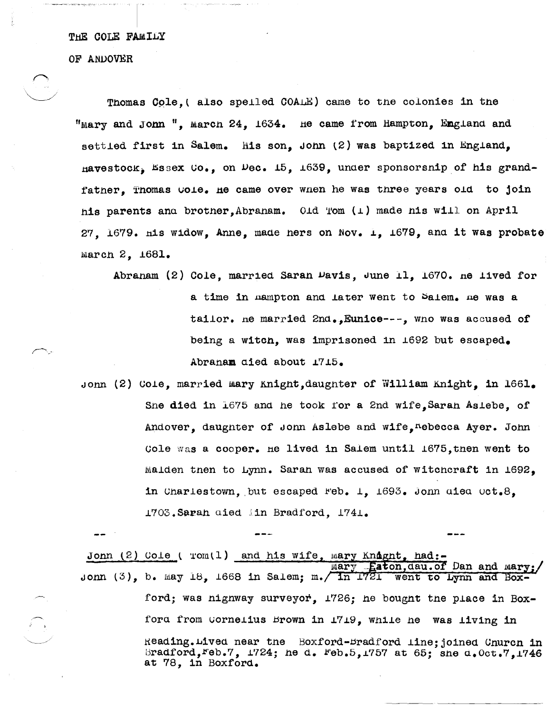THE COLE FAMILY

OF ANDOVER

Thomas Cole. (also speiled COALE) came to the colonies in the "Mary and Jonn ". March 24. 1634. He came from Hampton. England and settled first in Salem. His son. John (2) was baptized in England, havestock, Essex Co., on Dec. 15, 1639, under sponsorsnip of his grandfather. Thomas Cole. He came over when he was three years old to join his parents and brother. Abraham. Old Tom (1) made his will on April 27. 1679. His widow. Anne. made hers on Nov. 1. 1679. and it was probate March 2. 1681.

Abranam (2) Cole, married Saran Davis, June 11, 1670, ne lived for a time in mampton and later went to Salem. me was a tailor. ne married 2nd., Eunice ---. who was accused of being a witch, was imprisoned in 1692 but escaped. Abranam died about 1715.

Jonn (2) Cole, married mary Knight, daughter of William Knight, in 1661. Sne died in 1675 and he took for a 2nd wife, Saran Asiebe, of Andover, daugnter of Jonn Aslebe and wife, Lebecca Ayer. John Cole was a cooper. He lived in Salem until 1675, then went to Malden tnen to Lynn. Saran was accused of witchcraft in 1692. in Charlestown, but escaped Feb. 1, 1693. John aiea Oct.8, 1703. Sarah died in Bradford, 1741.

Jonn (2) Cole ( rom(1) and his wife, mary Knaght, had:-Eaton, dau. of Dan and mary: went to Lynn and Box-Jonn  $(3)$ , b. May 18, 1668 in Salem; m.  $\sqrt{\ln 1721}$ ford; was nighway surveyor, 1726; he bought the place in Boxford from Cornelius Brown in 1719, while he was living in Reading. Lived near the Boxford-Bradford line; joined Church in Bradford, Feb.7, 1724; he d. Feb.5, 1757 at 65; she d. Oct.7, 1746 at 78. in Boxford.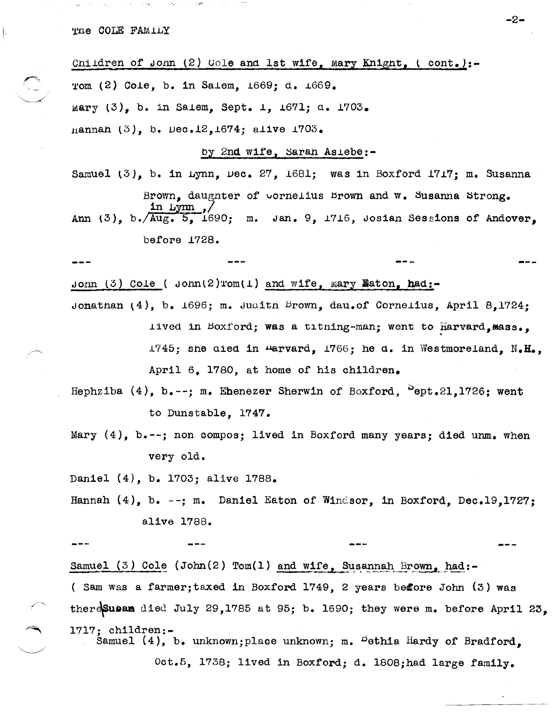and a support of the SMA.

Children of Jonn (2) Cole and 1st wife, mary Knight, (cont.):-Tom (2) Cole, b. in Salem, 1669; d. 1669. mary  $(3)$ , b. in Salem, Sept. 1, 1671; d. 1703. nannan (3), b. Dec.12, 1674; alive 1703.

by 2nd wife, Saran Asiebe:-

Samuel (3), b. in Lynn, Dec. 27, 1681; was in Boxford 1717; m. Susanna

Brown, daughter of vornelius Brown and w. Susanna Strong.

Ann  $(3)$ , b.  $\sqrt{\text{Aug. 5}$ , 1690; m. Jan. 9, 1716, Josian Sessions of Andover. before 1728.

Jonn (3) Cole (  $\text{dom}(2) \text{rom}(1)$  and wife, mary Eaton, had:-Jonathan  $(4)$ , b. 1696; m. Judith Brown, dau.of Cornelius, April 8,1724; lived in Boxford; was a titning-man; went to harvard, mass., 1745; she died in warvard, 1766; he d. in Westmoreland, N.H., April 6, 1780, at home of his children.

Hephziba  $(4)$ , b.--; m. Ehenezer Sherwin of Boxford,  $^{5}$ ept.21,1726; went to Dunstable. 1747.

Mary (4), b.--; non compos; lived in Boxford many years; died unm. when very old.

Daniel (4), b. 1703; alive 1788.

Hannah (4), b. --; m. Daniel Eaton of Windsor, in Boxford, Dec.19.1727: alive 1788.

Samuel (3) Cole (John(2) Tom(1) and wife, Susannah Brown, had:-(Sam was a farmer; taxed in Boxford 1749, 2 years before John (3) was theresus and died July 29,1785 at 95; b. 1690; they were m. before April 23. 1717: children:-Samuel (4), b. unknown; place unknown; m. <sup>D</sup>ethia Hardy of Bradford.

Oct.5, 1738; lived in Boxford; d. 1808; had large family.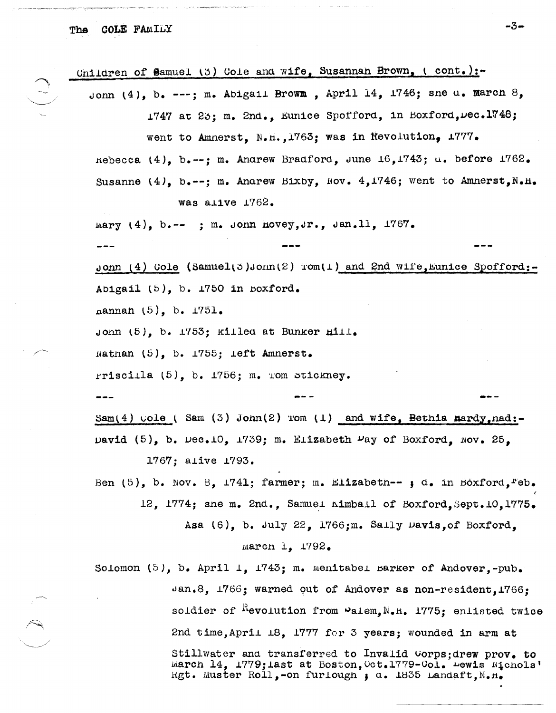**COLE FAMILY** The

Children of Samuel (3) Cole and wife, Susannan Brown, (cont.):-

Jonn  $(4)$ , b. ---; m. Abigail Brown, April 14, 1746; sne a. march 8, 1747 at 23; m. 2nd., Eunice Spofford, in Boxford. Dec. 1748;

went to Amnerst. N.H., 1763: was in Revolution, 1777.

nebecca (4), b.--: m. Andrew Bradford, June  $16,1743$ ; a. before  $1762$ .

Susanne  $(4)$ , b.--; m. Anarew Bixby, Nov. 4,1746; went to Amnerst, N.H. was alive 1762.

mary  $(4)$ , b.--; m. John hovey, Jr., Jan.11, 1767.

Jonn (4) Cole (Samuel(5)Jonn(2) rom(1) and 2nd wife, Eunice Spofford:-Abigail  $(5)$ , b. 1750 in Boxford.

 $\text{naman } (5)$ , b.  $1751$ .

Jonn (5), b. 1753; killed at Bunker Hill.

natnan  $(5)$ , b. 1755; ieft Amnerst.

rriscilla  $(5)$ , b. 1756; m. Tom stickney.

Sam(4)  $\text{code}$  (Sam (3) John(2) rom (1) and wife, Bethia mardy, nad:-David (5), b. Dec.10, 1739; m. Elizabeth  $\nu$ ay of Boxford, Nov. 25,

1767: alive 1793.

Ben (5), b. Nov. 8, 1741; farmer; m. Elizabeth--  $\mu$  d. in Boxford,  $Feb$ . 12, 1774; sne m. 2nd., Samuel nimball of Boxford. Sept. 10.1775.

Asa (6), b. July 22, 1766; m. Saily Davis, of Boxford,

## march 1. 1792.

Solomon  $(5)$ , b. April 1, 1743; m. menitabel barker of Andover,-pub. Jan.8, 1766; warned out of Andover as non-resident.1766: soldier of <sup>K</sup>evolution from "alem, N.H. 1775; enlisted twice 2nd time, April 18, 1777 for 3 years; wounded in arm at Stillwater and transferred to Invalid Corps; drew prov. to march 14, 1779; last at Boston, Oct. 1779-Col. Lewis Nichols' Rgt. Muster Roll,-on furlough ; a. 1835 Landaft,  $N_{\bullet}$ H.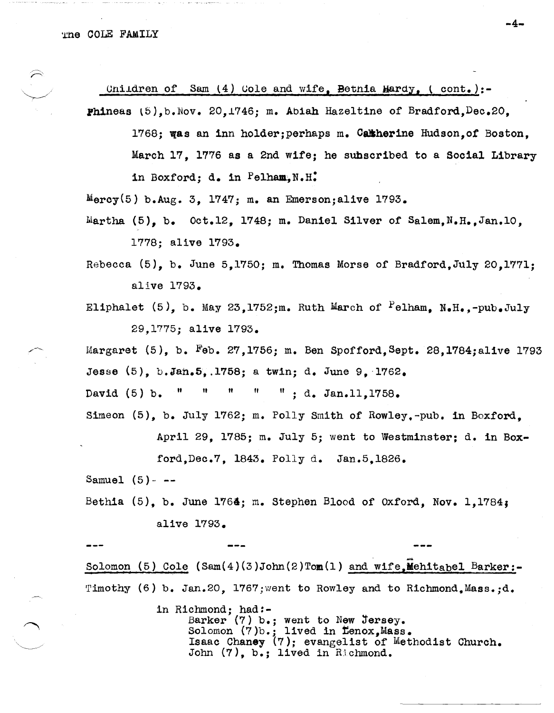Cnildren of Sam  $(4)$  Cole and wife. Bethia Hardy, (cont.):-

Phineas (5), b. Nov. 20, 1746: m. Abiah Hazeltine of Bradford. Dec. 20.

1768: was an inn holder: perhaps m. Catherine Hudson.of Boston. March 17. 1776 as a 2nd wife; he subscribed to a Social Library in Boxford; d. in Pelham, N.H.

 $Mercy(5)$  b.Aug. 3. 1747; m. an Emerson; alive 1793.

Martha  $(5)$ , b.  $0ct.12$ , 1748; m. Daniel Silver of Salem, N.H., Jan.10. 1778: alive 1793.

Rebecca (5), b. June 5,1750; m. Thomas Morse of Bradford, July 20,1771; alive 1793.

Eliphalet (5), b. May 23,1752;m. Ruth March of Pelham, N.H.,-pub.July 29.1775; alive 1793.

Margaret  $(5)$ , b. Feb. 27, 1756; m. Ben Spofford, Sept. 28, 1784; alive 1793 Jesse (5), b.Jan.5, 1758; a twin; d. June 9, 1762.

 $\mathbf{u}_\parallel$ Ħ  $\pmb{\mathsf{H}}$ 井  $" : d. Jan.11.1758.$ David  $(5)$  b.

Simeon (5), b. July 1762; m. Polly Smith of Rowley,-pub. in Boxford.

April 29, 1785; m. July 5; went to Westminster; d. in Box-

ford, Dec.7, 1843. Polly d. Jan.5, 1826.

Samuel  $(5)$ - --

Bethia  $(5)$ , b. June 1764; m. Stephen Blood of Oxford, Nov. 1,1784; alive 1793.

Solomon (5) Cole  $(Sam(4)(3)John(2)Tom(1)$  and wife, Mehitabel Barker:-Timothy (6) b. Jan.20. 1767; went to Rowley and to Richmond. Mass.: d.

> in Richmond; had:-Barker (7) b.; went to New Jersey.<br>Solomon (7)b.; lived in Lenox, Mass.<br>Isaac Chaney (7); evangelist of Methodist Church. John (7), b.; lived in Richmond.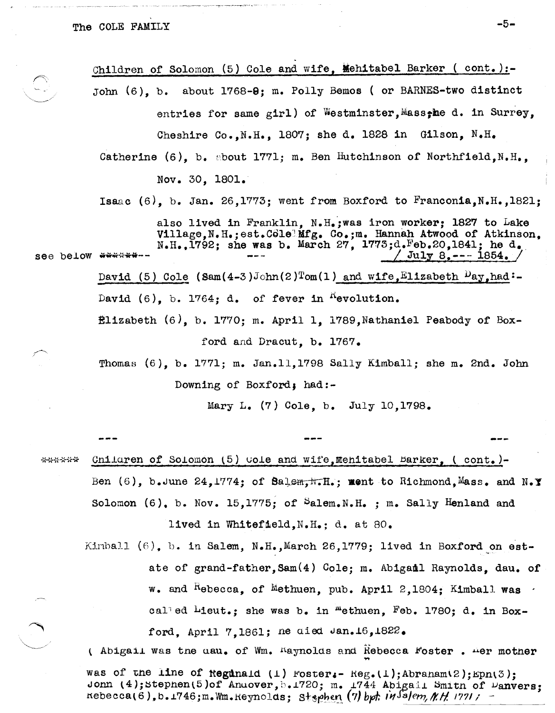Children of Solomon (5) Cole and wife, Mehitabel Barker (cont.):about 1768-0; m. Polly Bemos ( or BARNES-two distinct John  $(6)$ , b. entries for same girl) of Westminster, Mass, he d. in Surrey, Cheshire Co., N.H., 1807; she d. 1828 in Gilson, N.H. Catherine (6), b. about 1771; m. Ben Hutchinson of Northfield, N.H., Nov. 30, 1801. Isaac (6), b. Jan. 26, 1773; went from Boxford to Franconia, N.H., 1821; also lived in Franklin, N.H.; was iron worker; 1827 to Lake Village, N.H.; est. Cole Mfg. Co.; m. Hannah Atwood of Atkinson. N.H.,  $1792$ ; she was b. March 27,  $1773; d$ . Feb. 20, 1841; he d. see below \*\*\*\*\*\*\*-- $\text{July } 8$ . --- 1854. David (5) Cole (Sam(4-3)John(2)Tom(1) and wife, Elizabeth  $\mu_{ay}$ , had:-David  $(6)$ , b. 1764; d. of fever in <sup>K</sup>evolution.  $\texttt{Elizabeth}$  (6), b. 1770; m. April 1, 1789, Nathaniel Peabody of Boxford and Dracut. b. 1767. Thomas  $(6)$ , b. 1771; m. Jan.11,1798 Sally Kimball; she m. 2nd. John Downing of Boxford; had:-

Mary L.  $(7)$  Cole. b. July 10.1798.

Cnildren of Solomon (5) wole and wife, Mehitabel Barker, (cont.)-\*\*\*\*\*\* Ben (6), b.June 24, 1774; of Balem,  $\pi$ . T.; ment to Richmond, Mass. and N.Y Solomon (6), b. Nov. 15, 1775; of  $S$ alem. N.H. ; m. Sally Henland and lived in Whitefield.N.H.: d. at 80.

Kimball  $(6)$ , b. in Salem, N.H., March 26,1779; lived in Boxford on estate of grand-father, Sam(4) Cole; m. Abigail Raynolds. dau. of w. and  $k$ -becca, of Methuen, pub. April 2,1804; Kimball was called Lieut.; she was b. in "ethuen, Feb. 1780; d. in Boxford, April 7,1861; ne aied Jan.16,1822.

(Abigail was the day, of Wm, Maynolds and Rebecca Foster, Mer mother was of the line of Reginald (1) Foster:- Reg. (1); Abraham(2); Eph(3); Jonn (4); Stephen(5)of Andover, b.1720; m. 1744 Abigail Smith of Danvers:  $R = (7)$  hebecca(6), b.1746; m. Wm.  $Regno$ lds; Stephen (7) bpt.  $M$  salem,  $M$ ,  $H$ , 1771;

 $-5-$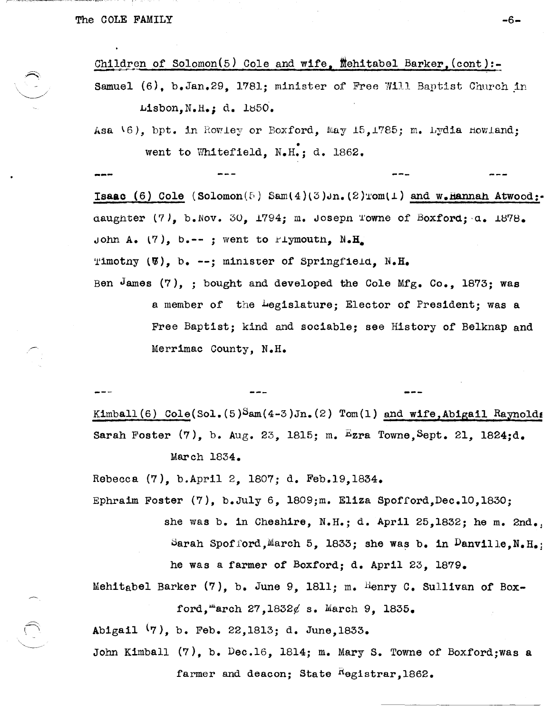Children of Solomon(5) Cole and wife, Mehitabel Barker, (cont):-Samuel  $(6)$ , b.Jan.29, 1781; minister of Free Will Baptist Church in

Lisbon, N.H.; d. 1850.

Asa  $\{6\}$ , bpt. in Rowley or Boxford, May 15,1785; m. Lydia Howland; went to Whitefield,  $N_{\bullet}H_{\bullet}$ ; d. 1862.

Isaac (6) Cole (Solomon(5) Sam(4)(3)Jn. (2)Tom(1) and w.Hannah Atwood:daughter  $(7)$ , b.Nov. 30, 1794; m. Joseph Towne of Boxford;  $a$ . 1878. John A. (7), b.--; went to Piymouth,  $N_{\bullet}H$ . Timotny  $(\mathcal{V})$ , b. --; minister of Springfield. N.H.

Ben James (7), ; bought and developed the Cole Mfg. Co., 1873; was a member of the hegislature; Elector of President; was a Free Baptist; kind and sociable; see History of Belknap and Merrimac County, N.H.

Kimball (6)  $\text{Cole}(\text{Sol.}(5)^{\text{Sam}}(4-3)\text{Jn.}(2)$   $\text{Tom}(1)$  and wife,Abigail Raynolds Sarah Foster  $(7)$ , b. Aug. 23, 1815; m. Ezra Towne, Sept. 21, 1824;d. March 1834.

Rebecca (7), b.April 2, 1807; d. Feb.19,1834.

Ephraim Foster (7), b.Ju1y 6, 1809;m. Eliza Spofford,Dec.l0,1830; she was b. in Cheshire, N.H.; d. April 25,1832; he m. 2nd., Sarah Spof ford, March 5, 1833; she was b. in  $D$ anville, N. H.; he was a farmer of Boxford; d. April 23, 1879.

Mehitabel Barker  $(7)$ , b. June 9, 1811; m. Henry C. Sullivan of Boxford, march  $27,1832\ell$  s. March 9. 1835.

Abigail (7), b. Feb. 22,1813; d. June,1833.

John Kimball (7), b. Dec.16, 1814; m. Mary S. Towne of Boxford;was a farmer and deacon; State  $R_{\text{e}}$  registrar, 1862.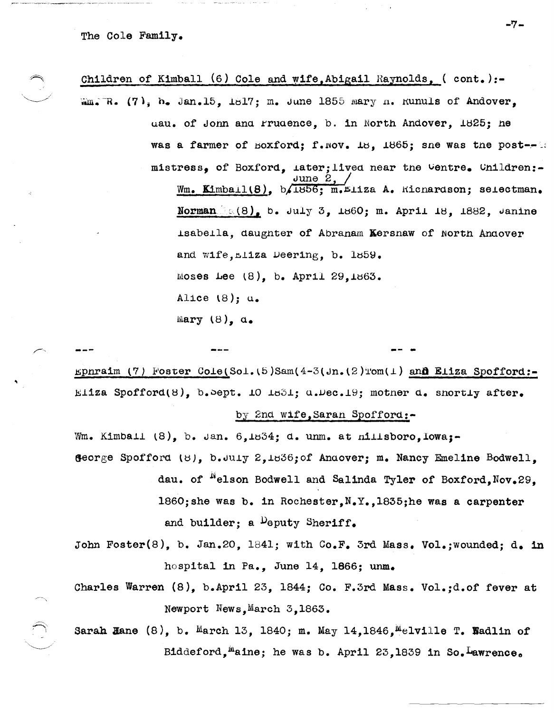The Cole Family.

Children of Kimball (6) Cole and wife, Abigail Raynolds, (cont.):-Wm. R. (7), h. Jan.15, 1817; m. June 1855 Mary n. Kunuls of Andover. uau. of Jonn and Frudence. b. in North Andover. 1825; he was a farmer of Boxford; f. Nov. 18, 1865; sne was the post--18 mistress, of Boxford, later; lived near the Centre. Children:-Wm. Kimball(8), b.1856; m.Eliza A. Kicnardson; selectman. Norman  $(8)$ , b. July 3, 1860; m. April 18, 1882, Janine isabella, daughter of Abranam Kersnaw of North Andover and wife, miza Deering, b. 1859. Moses Lee  $(8)$ , b. April 29,1863. Alice  $(8)$ :  $a_{\bullet}$ Mary  $(8)$ ,  $a_{\bullet}$ 

Ephraim (7) Foster Cole(Sol.(5)Sam(4-3(Jn.(2)Tom(1) and Eliza Spofford:-Eliza Spofford(8), b. Sept. 10 1831;  $a.\mu$ ec. 19; mother  $d$ . shortly after.

by 2nd wife, Saran Spofford:-

Wm. Kimball (8), b. Jan. 6,1834; d. unm. at nillsboro, Iowa;-George Spofford (8), b.July 2,1836; of Anaover; m. Nancy Emeline Bodwell, dau. of <sup>N</sup>elson Bodwell and Salinda Tyler of Boxford, Nov.29, 1860; she was b. in Rochester.  $N_{\bullet}Y_{\bullet}$ , 1835; he was a carpenter and builder; a Deputy Sheriff.

- John Foster(8), b. Jan.20, 1841; with  $Co.F.$  3rd Mass. Vol.; wounded; d. in hospital in Pa., June 14, 1866; unm.
- Charles Warren (8), b.April 23, 1844; Co. F.3rd Mass. Vol.;d.of fever at Newport News, March 3, 1863.

Sarah Hane  $(8)$ , b. March 13, 1840; m. May 14, 1846, Melville T. Wadlin of Biddeford, maine; he was b. April 23,1839 in So. Lawrence.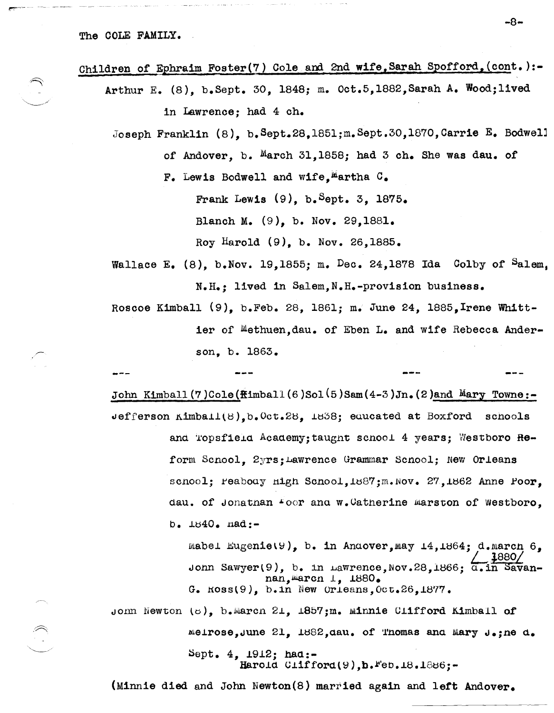Children of Ephraim Foster(7) Cole and 2nd wife,Sarah Spofford,(cont.):- Arthur E. (8), b.Sept. 30, 1848; m. Oct.5,1882,Sarah A. Wood;lived in Lawrence; had 4 ch. Joseph Franklin (8), b.Sept.28,1851;m.Sept.30,1870, Carrie E. Bodwell of Andover, b. March 31,1858; had 3 ch. She was dau. of F. Lewis Bodwell and wife, Martha  $G_{\bullet}$ Frank Lewis  $(9)$ , b. Sept. 3, 1875. Blanch M. (9), b. Nov. 29,1881. Roy Harold (9), b. Nov. 26,1885. Wallace E.  $(8)$ , b.Nov. 19,1855; m. Dec. 24,1878 Ida Colby of Salem. N.H.; lived in Salem,N.H.-provision business. Roscoe Kimball (9), b.Feb. 28, 1861; m. June 24, 1885,Irene Whittier of Methuen,dau. of Eben L. and wife Rebecca Anderson, b. 1863. John Kimball(7)Cole( $\text{Himball}(6)$ Sol(5)Sam(4-3)Jn.(2)and Mary Towne:- $\texttt{def}$  reson  $\texttt{minball}(8)$ ,  $\texttt{b.}$  Oct.28,  $\texttt{1838}$ ; equeated at Boxford schools and Topsfield Academy; taught scnool 4 years; Westboro Reform Scnool, 2yrs; Lawrence Grammar Scnool; New Orleans scnool; reabouy high Scnool, 1887; m. Nov. 27, 1862 Anne roor, dau. of Jonatnan  $\texttt{For}$  and  $\texttt{w}\text{-}\texttt{C}$  define marston of Westboro,  $b. 1840. 18d:$ mabel Eugenie (9), b. in Anaover, may  $14, 1864; d$ . march 6, Jonn Sawyer(9), b. in Lawrence, Nov.28,1866;  $\overline{a.1n}$  Savannan, marcn 1, 1880. G.  $Ross(9)$ , b.in New Orleans, Oct.26,1877. John Newton (8), b.Marcn 21,  $1857$ ;m. Minnie Clifford Kimball of  $m$ eirose, June 21, 1882, dau. of Thomas and Mary J.;ne d.

~ept. 4, *19.12j* had.:- Harold  $Clifford(9),b.*`eb.18.1886;-.$ 

(Minnie died and John Newton(S) married again and left Andover.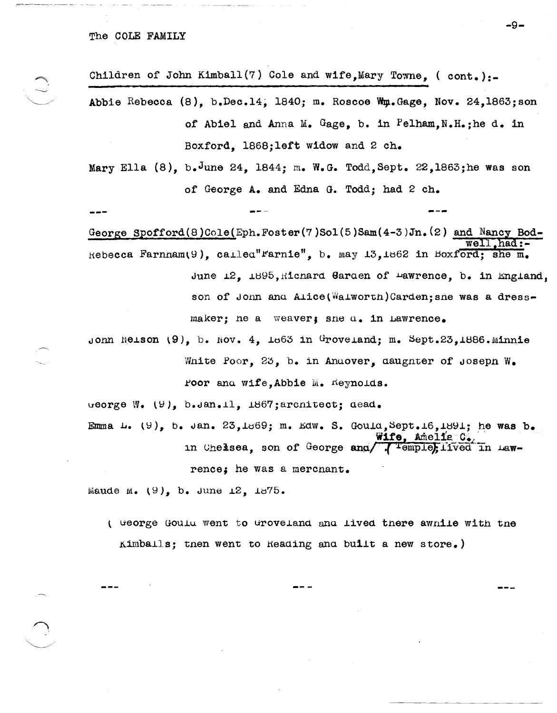Children of John Kimball(7) Cole and wife, Mary Towne, (cont.):-Abbie Rebecca  $(8)$ , b.Dec.14, 1840; m. Roscoe Wm.Gage, Nov. 24,1863; son of Abiel and Anna M. Gage. b. in Pelham. N.H.: he d. in Boxford, 1868; left widow and 2 ch.

Mary Ella (8), b. June 24, 1844; m. W.G. Todd, Sept. 22, 1863; he was son of George A. and Edna G. Todd; had 2 ch.

George Spofford(8)Cole(Eph.Foster(7)Sol(5)Sam(4-3)Jn.(2) and Nancy Bod-Rebecca Farnham(9), called" rarnie", b. may 13, 1862 in Boxford; she m. June 12, 1895, Richard Garden of Pawrence, b. in England, son of Jonn and Alice(Walworth)Carden; sne was a dressmaker; he a weaver; she u. in Lawrence.

Jonn Neison  $(9)$ , b. Nov. 4, 1863 in Groveland; m. Sept.23,1886.Minnie White Poor, 25, b. in Andover, daughter of Joseph W. Poor and wife, Abbie M. Keynolds.

ueorge W. (9), b.Jan.11, 1867; architect; dead.

Emma L.  $(9)$ , b. Jan. 23, 1869; m. Edw. S. Gould, Sept. 16, 1891; he was b. Wife, Amelia C. in Chelsea, son of George and/ Tremple, lived in Lawrence; he was a merchant.

Maude M.  $(9)$ , b. June 12, 1875.

( George Gould went to Groveland and lived there awhile with the Kimballs; then went to Reading and built a new store.)

-9-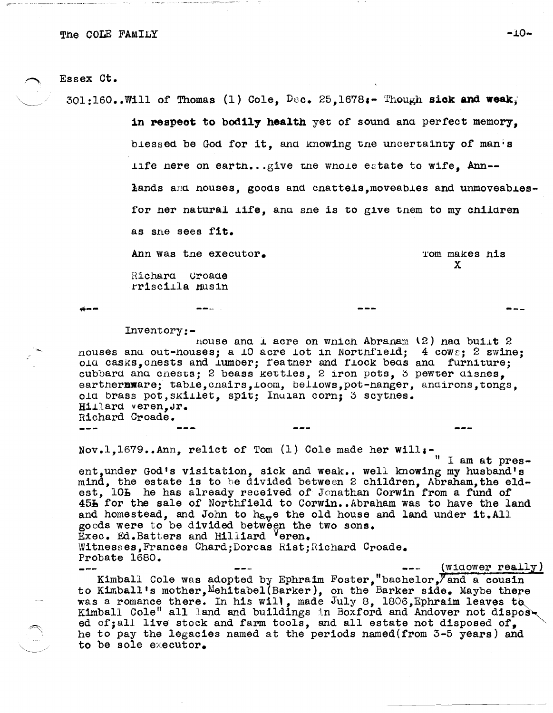## Essex Ct.

 $301:160$ ..Will of Thomas (1) Cole. Dec. 25.1678:- Though sick and weak.

in respect to bodily health yet of sound and perfect memory. blessed be God for it, and knowing the uncertainty of manis life nere on earth...give the whole estate to wife. Ann-lands and nouses, goods and cnattels, moveables and unmoveablesfor ner natural life, and sne is to give them to my children as sne sees fit. Ann was the executor. Tom makes his  $\mathbf{x}$ Richard Croade

rriscilla Husin

 $-$ 

د د گ

## Inventory:-

nouse and I acre on which Abraham  $(2)$  had built 2 nouses and out-nouses; a 10 acre iot in Northfield; 4 cows; 2 swine; old casks, cnests and lumber; featner and flock beas and furniture; cubbard and cnests; 2 beass kettles, 2 iron pots, 3 pewter disnes, earthermare; table, chairs, loom, bellows, pot-hanger, andirons, tongs, old brass pot. skillet. spit: Indian corn: 3 scythes. Hillard veren, Jr. Richard Croade.

Nov.1,1679..Ann, relict of Tom (1) Cole made her will:-<br> $\frac{1}{\pi}$  I am at pres-

ent, under God's visitation, sick and weak.. well knowing my husband's mind, the estate is to be divided between 2 children, Abraham, the eldest, 105 he has already received of Jonathan Corwin from a fund of 45h for the sale of Northfield to Corwin..Abraham was to have the land and homestead, and John to  $h_{\alpha,\tau}$  the old house and land under it. All goods were to be divided between the two sons. Exec. Ed. Batters and Hilliard Veren. Witnesses, Frances Chard; Dorcas Rist; Richard Croade. Probate 1680. (widower really)

Kimball Cole was adopted by Ephraim Foster,"bachelor, and a cousin to Kimball's mother, Mehitabel (Barker), on the Barker side. Maybe there was a romance there. In his will, made July 8, 1806, Ephraim leaves to Kimball Cole" all land and buildings in Boxford and Andover not disposed of; all live stock and farm tools, and all estate not disposed of. he to pay the legacies named at the periods named (from 3-5 years) and to be sole executor.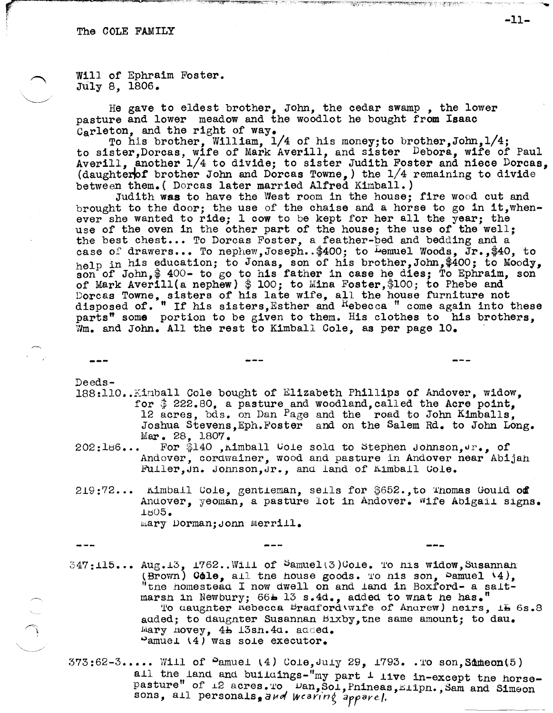(!!!"""'""" .. - ............... \_\_ 9 .• "'~ .... ~,. ~~-~-----

t

Will of Ephraim Foster. July 8, 1806.

He gave to eldest brother, John, the cedar swamp , the lower pasture and lower meadow and the woodlot he bought from Isaac Carleton, and the right of way.

To his brother, William, 1/4 of his money;to brother,John,1/4; to sister,Dorcas, wife of Mark Averill, and sister Debora, wife of Paul Averill, another 1/4 to divide; to sister Judith Foster and niece Dorcas, (daughter of brother John and Dorcas Towne,) the  $1/4$  remaining to divide between them. ( Dorcas later married Alfred Kimball. )

Judith was to have the West room in the house; tire wood cut and brought to the door; the use of the chaise and a horse to go in it, whenever she wanted to ride; 1 cow to be kept for her all the year; the use of the oven in the other part of the house; the use of the well; the best chest... To Dorcas Foster, a feather-bed and bedding and a case of drawers... To nephew, Joseph. \$400; to Lemuel Woods, Jr., \$40, to help in his education; to Jonas, son of his brother, John, \$400; to Moody, son of John,  $$400-$  to go to his father in case he dies: To Ephraim, son of Mark Averill(a nephew)  $$100;$  to Mina Foster, \$100; to Phebe and Dorcas Towne, sisters of his late wife, all the house furniture not disposed of. <sup>"</sup> If his sisters, Esther and Rebecca " come again into these parts<sup>#</sup> some portion to be given to them. His clothes to his brothers, Wm. and John. All the rest to Kimball Cole, as per page 10.

Deeds-

---

- 188:110. Kinball Cole bought of Elizabeth Phillips of Andover, widow. for  $$222.80$ , a pasture and woodland, called the Acre point, 12 acres, bds. on Dan Page and the road to John Kimballs. Joshua Stevens,Eph.Foster and on the Salem Rd. to John Long.  $Mar. 28, 1807.$ <br>202:186... For \$140, A
- For \$140 , Aimball vole sold to Stephen Johnson,  $\mathbf{u}_i$ , of Andover, cordwainer, wood and pasture in Andover near Abijah Fuller, Jn. Jonnson, Jr., and land of Kimball Cole.
- $219:72...$  Aimball Cole, gentleman, sells for  $$652$ ., to Thomas Gould of Andover, yeoman, a pasture lot in Andover. Wife Abigail signs. .l~05.

mary Dorman; Jonn Merrill.

 $\begin{pmatrix} 1 & \Delta & 0 \\ 0 & 0 & 0 \\ 0 & 0 & 0 \end{pmatrix}$ 

- $347:115...$  Aug.13, 1762..Will of  $Same1(3)$ Cole. To nis widow, Susannan (Brown)  $G$ dle, all the house goods. To his son,  $P$ amuel  $(4)$ ,  $t$  the homestead I now dwell on and land in Boxford- a saltmarsh in Newbury; 66 $\pm$  13 s.4d., added to wnat he has." To aaughter nebecca Bradford\wife of Anarew) neirs, 15 6s.8 aaded; to daughter Susannan  $Bixby$ , the same amount; to dau. Mary novey, 4b 13sn. 4d. added.  $\omega$ amuel (4) was sole executor.
- $373:62-3...$ . Will of  $S$ amuel (4) Cole, July 29,  $1793...$  To son, Sameon(5) all the land and buildings-"my part  $\perp$  live in-except tne horsepasture" of  $\pm 2$  acres. To  $\overline{\nu}$  wan, Sol, Pnineas, Elipn., Sam and Simeon sons, all personals, and wcaring apparel.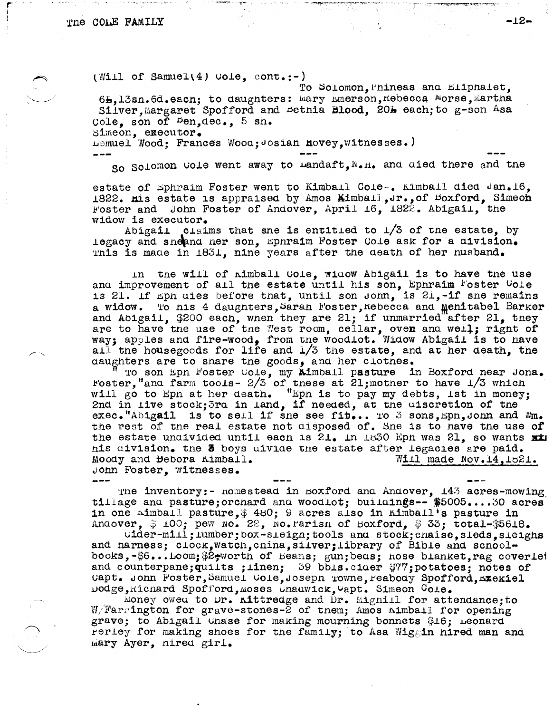$(\texttt{Will of Samuel}(4) \texttt{Uole}, \texttt{cont.})$ 

To Solomon, Phineas and Eliphalet. 61, 13sn. 6d. eacn; to daughters: mary mmerson, nebecca morse, martha Silver, Margaret Spofford and Bethia Blood. 20L each: to g-son Asa Cole, son of Den, dec., 5 sh. Simeon. executor.

Lemuel Wood: Frances Wood: Josian Hovey. witnesses.)

So Solomon Gole went away to Landaft. N.H. and died there and the

estate of Ephraim Foster went to Kimball Cole-. Kimball died Jan.16, 1822. nis estate is appraised by Amos Kimball, of Boxford, Simeon Foster and John Foster of Andover, April 16, 1822. Abigail, the widow is executor.

Abigail claims that sne is entitled to  $1/3$  of the estate, by legacy and sneahnd ner son, Ephraim Foster Cole ask for a division. This is made in 1831. nine years after the death of her husband.

in the will of nimball Cole, widow Abigail is to have the use and improvement of all the estate until his son, Ephraim Foster Cole is 21. If mpn aies before that, until son John, is 21,-if she remains a widow. To his 4 daughters, Sarah Foster, Kebecca and Menitabel Barker and Abigail, \$200 each, when they are 21; if unmarried after 21, they are to have the use of the West room, cellar, oven and well; right of way; apples and fire-wood, from the woodlot. Widow Abigail is to have all the housegoods for life and  $1/3$  the estate, and at her death, the daughters are to share the goods, and her clothes.

To son Eph Foster Cole, my kimball pasture in Boxford near Jona. Foster, "and farm tools- $2/3$  of these at 21; mother to have  $1/3$  which will go to Epn at her death. "Epn is to pay my debts, ist in money; 2nd in live stock; 3rd in land, if needed, at the uiscretion of the exec. "Abigail is to sell if sne see fib... To 3 sons, Epn, Jonn and Wm. the rest of the real estate not disposed of. She is to have the use of the estate undivided until each is  $21.$  In 1830 Eph was  $21.$  so wants xx nis division. the 3 boys divide the estate after legacies are paid. Moody and Bebora Kimball. Will made Nov.14.1821. John Foster, witnesses.

The inventory:- Homestead in Boxford and Andover,  $143$  acres-mowing. tillage and pasture; orchard and woodlot; buildings -- \$5005....30 acres in one nimball pasture, \$480; 9 acres also in Kimball's pasture in Andover, #100; pew No. 22, No. Farisn of Boxford, #33; total-#5618.

 $\texttt{cider-mill}$ ;  $\texttt{lumber}$ ;  $\texttt{box-sLeign}$ ;  $\texttt{tools}$  and  $\texttt{stock}$ ;  $\texttt{cnaise}$ ,  $\texttt{sleds}$ ,  $\texttt{seigns}$ and narness;  $c\texttt{lock}$ , watch, cnina, silver; library of Bible and schoolbooks,-\$6...Loom;\$2,worth of Beans; gun;beas; Rose blanket, rag coveriet and counterpane; quilts; linen; 39 bbls.ciaer \$77; potatoes; notes of Capt. John Foster, Samuel Cole, Joseph Towne, Peabody Spofford, Exckiel nodge, Richard Spofford, moses Unauwick, Wapt. Simeon Cole.

Money owed to Dr. Kittredge and Dr. Mignill for attendance; to  $W/Farrington$  for grave-stones-2 of tnem; Amos  $minball$  for opening grave; to Abigail Unase for making mourning bonnets \$16; Leonard Perley for making shoes for the family; to Asa Wiggin hired man and mary Ayer, nired girl.

 $-12-$